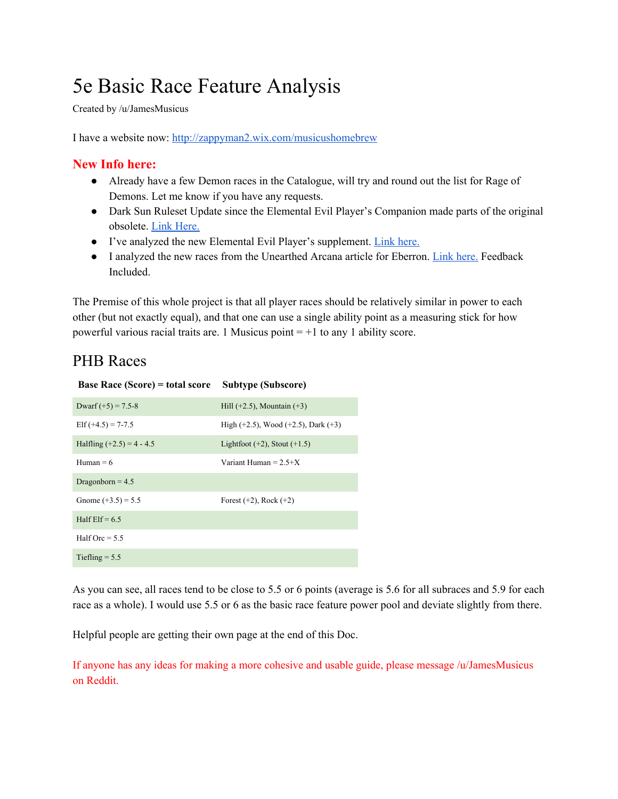# 5e Basic Race Feature Analysis

Created by /u/JamesMusicus

I have a website now: <http://zappyman2.wix.com/musicushomebrew>

#### **New Info here:**

- Already have a few Demon races in the Catalogue, will try and round out the list for Rage of Demons. Let me know if you have any requests.
- Dark Sun Ruleset Update since the Elemental Evil Player's Companion made parts of the original obsolete. Link [Here.](https://docs.google.com/document/d/1g-am_U_h7vWdX5uyUjMtMARUqoq6ZQjklhAh9k1Yx1w/edit?usp=sharing)
- I've analyzed the new Elemental Evil Player's supplement. Link [here.](https://docs.google.com/document/d/14vlWCGpt0iaBZexAP3UypQqO-oM90UP1ZXhpYkvOJaA/edit?usp=sharing)
- I analyzed the new races from the Unearthed Arcana article for Eberron. Link [here.](https://docs.google.com/document/d/1_2rJRpNqRV41H5GD3U2q-11hXNW-a0vvxBYBoQwu-TQ/edit?usp=sharing) Feedback Included.

The Premise of this whole project is that all player races should be relatively similar in power to each other (but not exactly equal), and that one can use a single ability point as a measuring stick for how powerful various racial traits are. 1 Musicus point  $= +1$  to any 1 ability score.

## PHB Races

| <b>Base Race (Score)</b> = total score | Subtype (Subscore)                          |
|----------------------------------------|---------------------------------------------|
| Dwarf $(+5) = 7.5-8$                   | Hill $(+2.5)$ , Mountain $(+3)$             |
| Elf $(+4.5) = 7-7.5$                   | High $(+2.5)$ , Wood $(+2.5)$ , Dark $(+3)$ |
| Halfling $(+2.5) = 4 - 4.5$            | Lightfoot $(+2)$ , Stout $(+1.5)$           |
| Human = $6$                            | Variant Human = $2.5+X$                     |
| Dragonborn = $4.5$                     |                                             |
| Gnome $(+3.5) = 5.5$                   | Forest $(+2)$ , Rock $(+2)$                 |
| Half $E$ lf = 6.5                      |                                             |
| Half Orc = $5.5$                       |                                             |
| Tiefling $= 5.5$                       |                                             |

As you can see, all races tend to be close to 5.5 or 6 points (average is 5.6 for all subraces and 5.9 for each race as a whole). I would use 5.5 or 6 as the basic race feature power pool and deviate slightly from there.

Helpful people are getting their own page at the end of this Doc.

If anyone has any ideas for making a more cohesive and usable guide, please message /u/JamesMusicus on Reddit.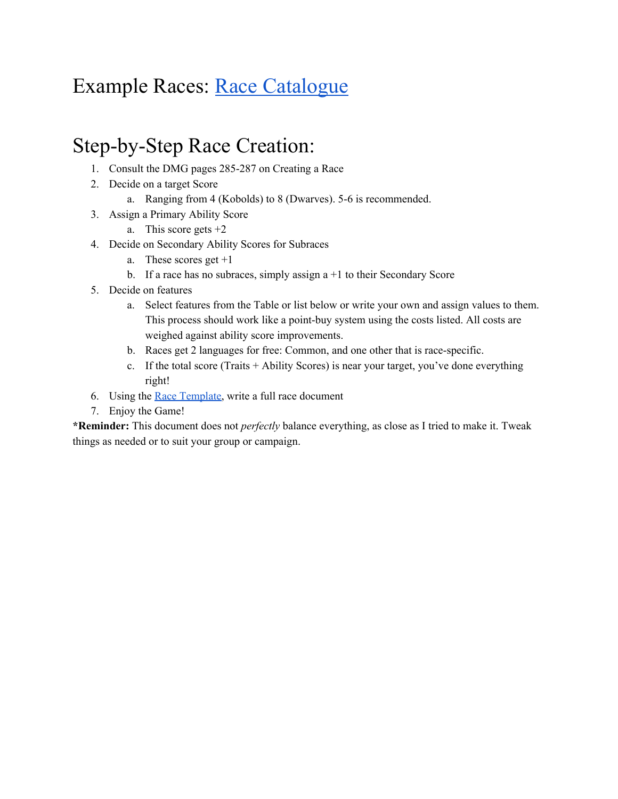# Example Races: [Race Catalogue](https://docs.google.com/document/d/1eiNfWAq14MKhXgLEsxnYYQjdX2Ku4cib1tP4UHis1J0/edit?usp=sharing)

## Step-by-Step Race Creation:

- 1. Consult the DMG pages 285-287 on Creating a Race
- 2. Decide on a target Score
	- a. Ranging from 4 (Kobolds) to 8 (Dwarves). 5-6 is recommended.
- 3. Assign a Primary Ability Score
	- a. This score gets  $+2$
- 4. Decide on Secondary Ability Scores for Subraces
	- a. These scores get +1
	- b. If a race has no subraces, simply assign  $a + 1$  to their Secondary Score
- 5. Decide on features
	- a. Select features from the Table or list below or write your own and assign values to them. This process should work like a point-buy system using the costs listed. All costs are weighed against ability score improvements.
	- b. Races get 2 languages for free: Common, and one other that is race-specific.
	- c. If the total score (Traits + Ability Scores) is near your target, you've done everything right!
- 6. Using the Race [Template,](https://docs.google.com/document/d/19eiRztDemoVwtGMApS-_sa6LgWlaoKisSwLxBY3n8K8/edit?usp=sharing) write a full race document
- 7. Enjoy the Game!

**\*Reminder:** This document does not *perfectly* balance everything, as close as I tried to make it. Tweak things as needed or to suit your group or campaign.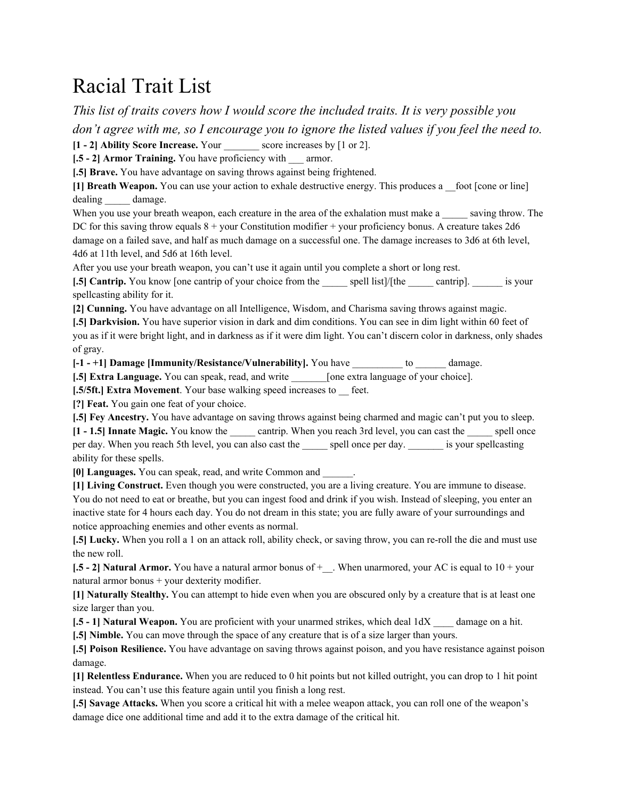## Racial Trait List

*This list of traits covers how I would score the included traits. It is very possible you* don't agree with me, so I encourage you to ignore the listed values if you feel the need to.

**[1 - 2] Ability Score Increase.** Your \_\_\_\_\_\_\_ score increases by [1 or 2].

**[.5 - 2] Armor Training.** You have proficiency with \_\_\_ armor.

**[.5] Brave.** You have advantage on saving throws against being frightened.

**[1] Breath Weapon.** You can use your action to exhale destructive energy. This produces a \_\_foot [cone or line] dealing damage.

When you use your breath weapon, each creature in the area of the exhalation must make a saving throw. The DC for this saving throw equals  $8 +$  your Constitution modifier  $+$  your proficiency bonus. A creature takes 2d6 damage on a failed save, and half as much damage on a successful one. The damage increases to 3d6 at 6th level, 4d6 at 11th level, and 5d6 at 16th level.

After you use your breath weapon, you can't use it again until you complete a short or long rest.

**[.5] Cantrip.** You know [one cantrip of your choice from the spell list]/[the cantrip]. is your spellcasting ability for it.

**[2] Cunning.** You have advantage on all Intelligence, Wisdom, and Charisma saving throws against magic.

**[.5] Darkvision.** You have superior vision in dark and dim conditions. You can see in dim light within 60 feet of you as if it were bright light, and in darkness as if it were dim light. You can't discern color in darkness, only shades of gray.

**[-1 - +1] Damage [Immunity/Resistance/Vulnerability].** You have \_\_\_\_\_\_\_\_\_\_ to \_\_\_\_\_\_ damage.

**[.5] Extra Language.** You can speak, read, and write  $\qquad$  [one extra language of your choice].

**[.5/5ft.] Extra Movement**. Your base walking speed increases to feet.

**[?] Feat.** You gain one feat of your choice.

**[.5] Fey Ancestry.** You have advantage on saving throws against being charmed and magic can't put you to sleep.

**[1 - 1.5] Innate Magic.** You know the \_\_\_\_\_ cantrip. When you reach 3rd level, you can cast the \_\_\_\_\_ spell once per day. When you reach 5th level, you can also cast the spell once per day.  $\frac{1}{1}$  is your spellcasting ability for these spells.

**[0] Languages.** You can speak, read, and write Common and \_\_\_\_\_\_.

**[1] Living Construct.** Even though you were constructed, you are a living creature. You are immune to disease. You do not need to eat or breathe, but you can ingest food and drink if you wish. Instead of sleeping, you enter an inactive state for 4 hours each day. You do not dream in this state; you are fully aware of your surroundings and notice approaching enemies and other events as normal.

**[.5] Lucky.** When you roll a 1 on an attack roll, ability check, or saving throw, you can re-roll the die and must use the new roll.

**[.5 - 2] <b>Natural Armor.** You have a natural armor bonus of  $+$ . When unarmored, your AC is equal to  $10 +$  your natural armor bonus + your dexterity modifier.

**[1] Naturally Stealthy.** You can attempt to hide even when you are obscured only by a creature that is at least one size larger than you.

**[.5 - 1] Natural Weapon.** You are proficient with your unarmed strikes, which deal 1dX \_\_\_\_ damage on a hit.

**[.5] Nimble.** You can move through the space of any creature that is of a size larger than yours.

**[.5] Poison Resilience.** You have advantage on saving throws against poison, and you have resistance against poison damage.

**[1] Relentless Endurance.** When you are reduced to 0 hit points but not killed outright, you can drop to 1 hit point instead. You can't use this feature again until you finish a long rest.

**[.5] Savage Attacks.** When you score a critical hit with a melee weapon attack, you can roll one of the weapon's damage dice one additional time and add it to the extra damage of the critical hit.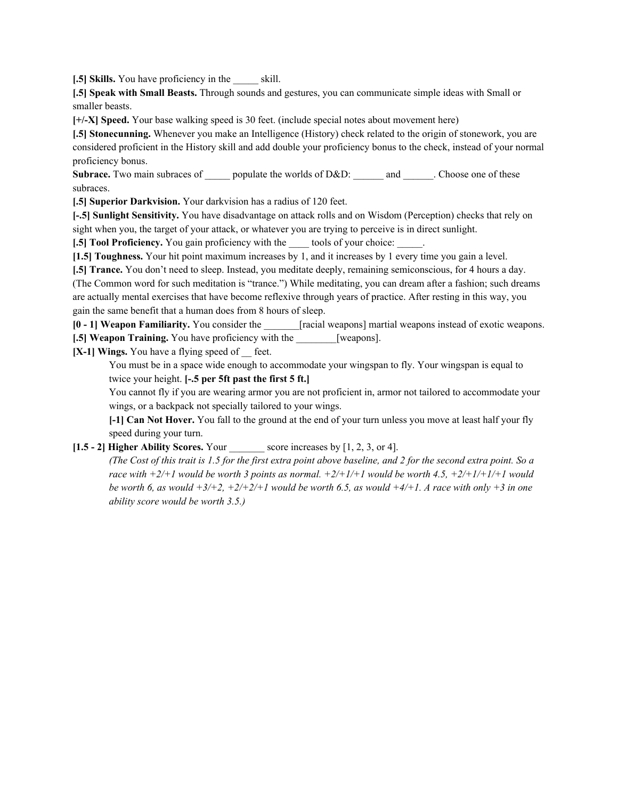**[.5] Skills.** You have proficiency in the skill.

**[.5] Speak with Small Beasts.** Through sounds and gestures, you can communicate simple ideas with Small or smaller beasts.

**[+/-X] Speed.** Your base walking speed is 30 feet. (include special notes about movement here)

**[.5] Stonecunning.** Whenever you make an Intelligence (History) check related to the origin of stonework, you are considered proficient in the History skill and add double your proficiency bonus to the check, instead of your normal proficiency bonus.

**Subrace.** Two main subraces of \_\_\_\_\_ populate the worlds of D&D: \_\_\_\_\_\_\_\_\_\_\_\_\_\_\_. Choose one of these subraces.

**[.5] Superior Darkvision.** Your darkvision has a radius of 120 feet.

**[-.5] Sunlight Sensitivity.** You have disadvantage on attack rolls and on Wisdom (Perception) checks that rely on sight when you, the target of your attack, or whatever you are trying to perceive is in direct sunlight.

**[.5] Tool Proficiency.** You gain proficiency with the tools of your choice:

**[1.5] Toughness.** Your hit point maximum increases by 1, and it increases by 1 every time you gain a level.

**[.5] Trance.** You don't need to sleep. Instead, you meditate deeply, remaining semiconscious, for 4 hours a day.

(The Common word for such meditation is "trance.") While meditating, you can dream after a fashion; such dreams are actually mental exercises that have become reflexive through years of practice. After resting in this way, you gain the same benefit that a human does from 8 hours of sleep.

**[0 - 1] Weapon Familiarity.** You consider the \_\_\_\_\_\_\_[racial weapons] martial weapons instead of exotic weapons.

**[.5] Weapon Training.** You have proficiency with the [weapons].

**[X-1] Wings.** You have a flying speed of \_\_ feet.

You must be in a space wide enough to accommodate your wingspan to fly. Your wingspan is equal to twice your height. **[-.5 per 5ft past the first 5 ft.]**

You cannot fly if you are wearing armor you are not proficient in, armor not tailored to accommodate your wings, or a backpack not specially tailored to your wings.

**[-1] Can Not Hover.** You fall to the ground at the end of your turn unless you move at least half your fly speed during your turn.

#### **[1.5 - 2] Higher Ability Scores.** Your \_\_\_\_\_\_\_ score increases by [1, 2, 3, or 4].

(The Cost of this trait is 1.5 for the first extra point above baseline, and 2 for the second extra point. So a *race* with  $+2/+1$  would be worth 3 points as normal.  $+2/+1/+1$  would be worth 4.5,  $+2/+1/+1/+1$  would be worth 6, as would  $+3/+2$ ,  $+2/+2/+1$  would be worth 6.5, as would  $+4/+1$ . A race with only  $+3$  in one *ability score would be worth 3.5.)*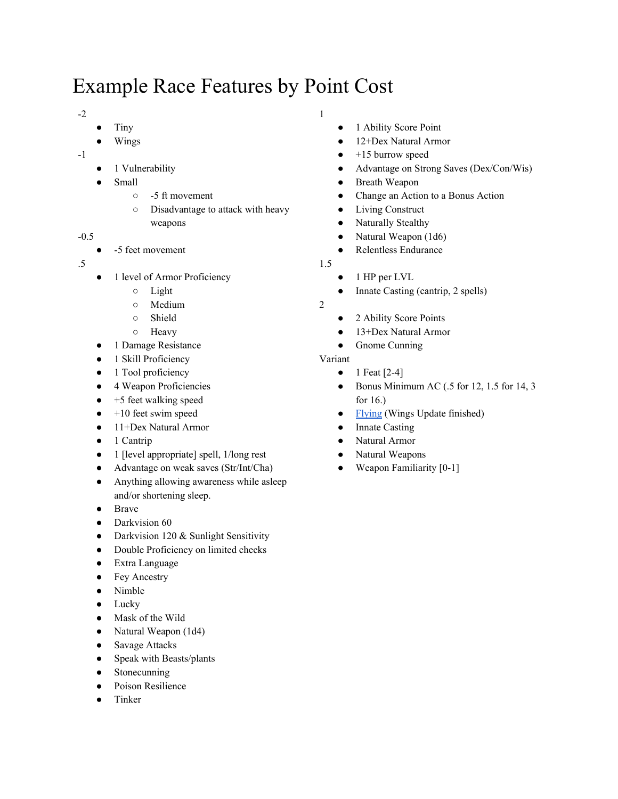# Example Race Features by Point Cost

- -2
- Tiny
- Wings
- -1
- 1 Vulnerability
- **Small** 
	- -5 ft movement
	- Disadvantage to attack with heavy weapons
- -0.5
	- -5 feet movement
- .5
- 1 level of Armor Proficiency
	- Light
	- Medium
	- Shield
	- Heavy
- 1 Damage Resistance
- 1 Skill Proficiency
- 1 Tool proficiency
- 4 Weapon Proficiencies
- $\bullet$  +5 feet walking speed
- $\bullet$  +10 feet swim speed
- 11+Dex Natural Armor
- 1 Cantrip
- 1 [level appropriate] spell, 1/long rest
- Advantage on weak saves (Str/Int/Cha)
- Anything allowing awareness while asleep and/or shortening sleep.
- Brave
- Darkvision 60
- Darkvision 120 & Sunlight Sensitivity
- Double Proficiency on limited checks
- Extra Language
- Fey Ancestry
- Nimble
- Lucky
- Mask of the Wild
- Natural Weapon (1d4)
- Savage Attacks
- Speak with Beasts/plants
- Stonecunning
- Poison Resilience
- Tinker

1

- 1 Ability Score Point
- 12+Dex Natural Armor
- $\bullet$  +15 burrow speed
- Advantage on Strong Saves (Dex/Con/Wis)
- Breath Weapon
- Change an Action to a Bonus Action
- Living Construct
- Naturally Stealthy
- Natural Weapon (1d6)
- Relentless Endurance
- 1.5
	- 1 HP per LVL
	- Innate Casting (cantrip, 2 spells)
- 2
- 2 Ability Score Points
- 13+Dex Natural Armor
- Gnome Cunning

#### Variant

- 1 Feat  $[2-4]$
- $\bullet$  Bonus Minimum AC (.5 for 12, 1.5 for 14, 3 for 16.)
- [Flying](https://docs.google.com/document/d/1Pbkd-cffrjGgzJotgl6hozYhoe-hQdRgGxjYZV74dHI/edit?usp=sharing) (Wings Update finished)
- Innate Casting
- Natural Armor
- Natural Weapons
- $\bullet$  Weapon Familiarity [0-1]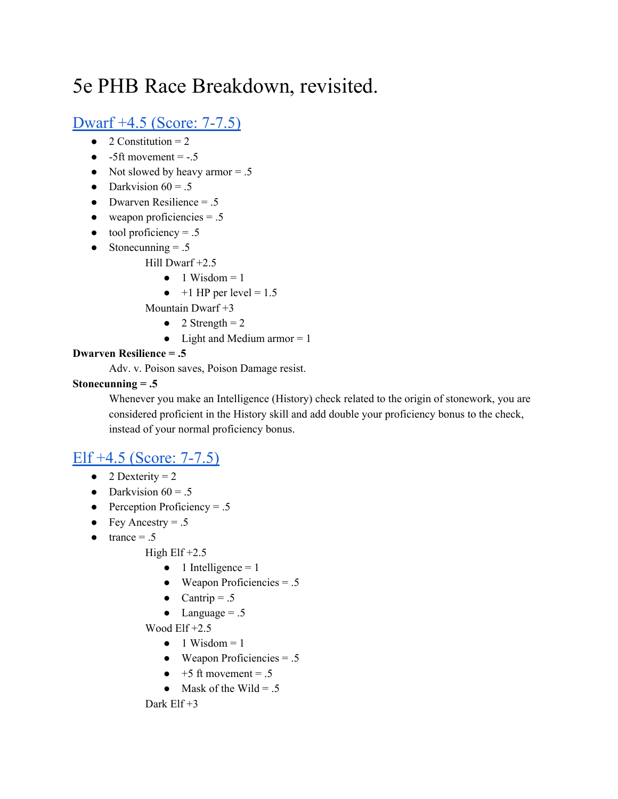# 5e PHB Race Breakdown, revisited.

## Dwarf +4.5 [\(Score:](https://docs.google.com/document/d/1eiNfWAq14MKhXgLEsxnYYQjdX2Ku4cib1tP4UHis1J0/edit#heading=h.krnbhqhaivty) 7-7.5)

- $\bullet$  2 Constitution = 2
- $\bullet$  -5ft movement = -.5
- Not slowed by heavy armor  $= .5$
- Darkvision  $60 = .5$
- Dwarven Resilience  $= .5$
- $\bullet$  weapon proficiencies = .5
- $\bullet$  tool proficiency = .5
- $\bullet$  Stonecunning = .5
	- Hill Dwarf +2.5
		- $\bullet$  1 Wisdom = 1
		- $\bullet$  +1 HP per level = 1.5
	- Mountain Dwarf +3
		- $\bullet$  2 Strength = 2
		- Light and Medium armor  $= 1$

#### **Dwarven Resilience = .5**

Adv. v. Poison saves, Poison Damage resist.

#### **Stonecunning**  $= .5$

Whenever you make an Intelligence (History) check related to the origin of stonework, you are considered proficient in the History skill and add double your proficiency bonus to the check, instead of your normal proficiency bonus.

## Elf +4.5 [\(Score:](https://docs.google.com/document/d/1eiNfWAq14MKhXgLEsxnYYQjdX2Ku4cib1tP4UHis1J0/edit#heading=h.8ircgqwe0o87) 7-7.5)

- $\bullet$  2 Dexterity = 2
- Darkvision  $60 = .5$
- Perception Proficiency  $= .5$
- Fey Ancestry  $= .5$
- $\bullet$  trance = .5

High  $E$ If  $+2.5$ 

- $\bullet$  1 Intelligence = 1
- $\bullet$  Weapon Proficiencies = .5
- Cantrip =  $.5$
- Language  $= .5$

Wood Elf +2.5

- $\bullet$  1 Wisdom = 1
- $\bullet$  Weapon Proficiencies = .5
- $\bullet$  +5 ft movement = .5
- Mask of the Wild = .5

Dark  $E$ If  $+3$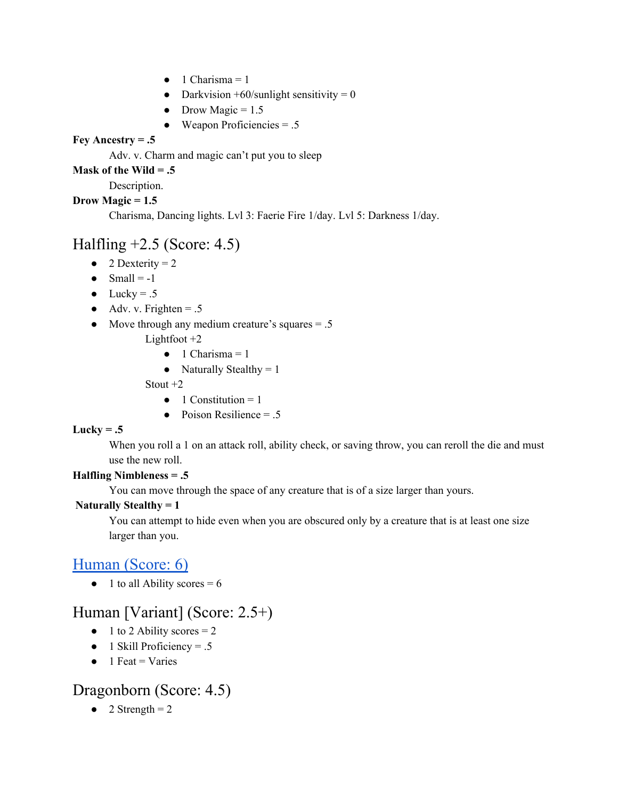- $\bullet$  1 Charisma = 1
- Darkvision  $+60$ /sunlight sensitivity = 0
- Drow Magic =  $1.5$
- $\bullet$  Weapon Proficiencies = .5

#### **Fey** Ancestry  $= .5$

Adv. v. Charm and magic can't put you to sleep

#### **Mask of the Wild = .5**

Description.

#### **Drow Magic = 1.5**

Charisma, Dancing lights. Lvl 3: Faerie Fire 1/day. Lvl 5: Darkness 1/day.

## Halfling  $+2.5$  (Score: 4.5)

- $\bullet$  2 Dexterity = 2
- $\bullet$  Small = -1
- $\bullet$  Lucky = .5
- $\bullet$  Adv. v. Frighten = .5
- Move through any medium creature's squares  $= .5$

Lightfoot  $+2$ 

- $\bullet$  1 Charisma = 1
- Naturally Stealthy  $= 1$

Stout +2

- $\bullet$  1 Constitution = 1
- $\bullet$  Poison Resilience = .5

#### $Lucky = .5$

When you roll a 1 on an attack roll, ability check, or saving throw, you can reroll the die and must use the new roll.

#### **Halfling Nimbleness = .5**

You can move through the space of any creature that is of a size larger than yours.

#### **Naturally Stealthy = 1**

You can attempt to hide even when you are obscured only by a creature that is at least one size larger than you.

### [Human](https://docs.google.com/document/d/1eiNfWAq14MKhXgLEsxnYYQjdX2Ku4cib1tP4UHis1J0/edit#heading=h.cd8tn5spi4om) (Score: 6)

 $\bullet$  1 to all Ability scores = 6

## Human [Variant] (Score: 2.5+)

- $\bullet$  1 to 2 Ability scores = 2
- $\bullet$  1 Skill Proficiency = .5
- $\bullet$  1 Feat = Varies

### Dragonborn (Score: 4.5)

 $\bullet$  2 Strength = 2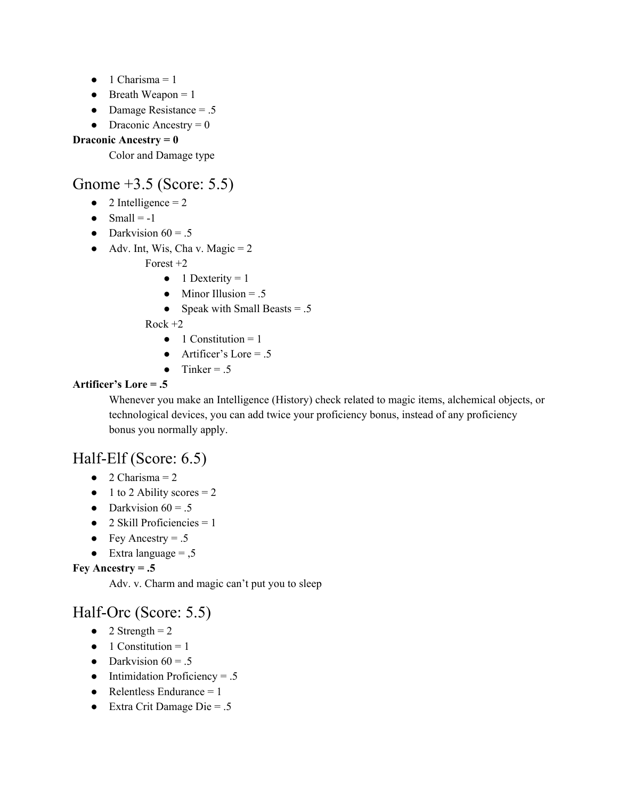- $\bullet$  1 Charisma = 1
- $\bullet$  Breath Weapon = 1
- Damage Resistance  $= .5$
- Draconic Ancestry  $= 0$

#### **Draconic Ancestry = 0**

Color and Damage type

### Gnome +3.5 (Score: 5.5)

- $\bullet$  2 Intelligence = 2
- $\bullet$  Small = -1
- Darkvision  $60 = .5$
- $\bullet$  Adv. Int, Wis, Cha v. Magic = 2

Forest +2

- $\bullet$  1 Dexterity = 1
- $\bullet$  Minor Illusion = .5
- Speak with Small Beasts  $= .5$

 $Rock + 2$ 

- $\bullet$  1 Constitution = 1
- $\bullet$  Artificer's Lore = .5
- $\bullet$  Tinker = .5

#### **Artificer's Lore = .5**

Whenever you make an Intelligence (History) check related to magic items, alchemical objects, or technological devices, you can add twice your proficiency bonus, instead of any proficiency bonus you normally apply.

## Half-Elf (Score: 6.5)

- $\bullet$  2 Charisma = 2
- $\bullet$  1 to 2 Ability scores = 2
- Darkvision  $60 = .5$
- $\bullet$  2 Skill Proficiencies = 1
- Fey Ancestry  $= .5$
- $\bullet$  Extra language =  $,5$

#### **Fey** Ancestry  $= .5$

Adv. v. Charm and magic can't put you to sleep

### Half-Orc (Score: 5.5)

- $\bullet$  2 Strength = 2
- $\bullet$  1 Constitution = 1
- Darkvision  $60 = .5$
- $\bullet$  Intimidation Proficiency = .5
- Relentless Endurance  $= 1$
- $\bullet$  Extra Crit Damage Die = .5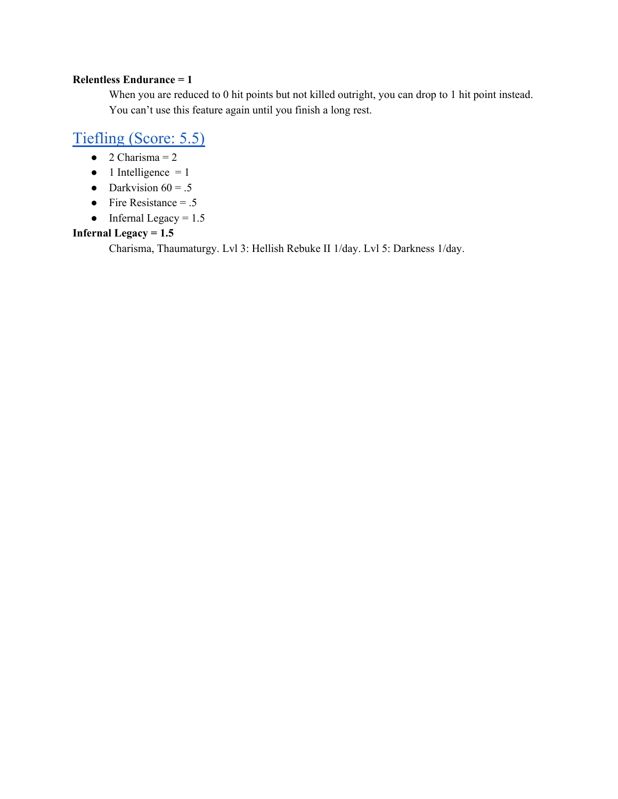#### **Relentless Endurance = 1**

When you are reduced to 0 hit points but not killed outright, you can drop to 1 hit point instead. You can't use this feature again until you finish a long rest.

### [Tiefling](https://docs.google.com/document/d/1eiNfWAq14MKhXgLEsxnYYQjdX2Ku4cib1tP4UHis1J0/edit#heading=h.d3ybz1ioj93y) (Score: 5.5)

- $\bullet$  2 Charisma = 2
- $\bullet$  1 Intelligence = 1
- Darkvision  $60 = .5$
- Fire Resistance  $= .5$
- Infernal Legacy =  $1.5$

#### **Infernal Legacy = 1.5**

Charisma, Thaumaturgy. Lvl 3: Hellish Rebuke II 1/day. Lvl 5: Darkness 1/day.